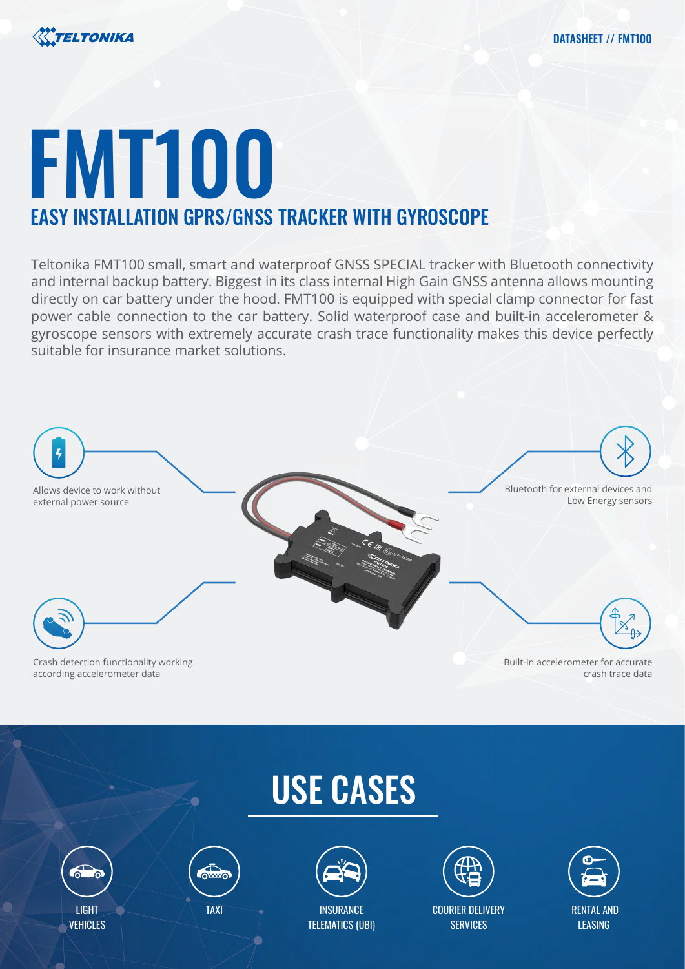

# FMT100 EASY INSTALLATION GPRS/GNSS TRACKER WITH GYROSCOPE

Teltonika FMT100 small, smart and waterproof GNSS SPECIAL tracker with Bluetooth connectivity and internal backup battery. Biggest in its class internal High Gain GNSS antenna allows mounting directly on car battery under the hood. FMT100 is equipped with special clamp connector for fast power cable connection to the car battery. Solid waterproof case and built-in accelerometer & gyroscope sensors with extremely accurate crash trace functionality makes this device perfectly suitable for insurance market solutions.



# USE CASES









COURIER DELIVERY **SERVICES** 

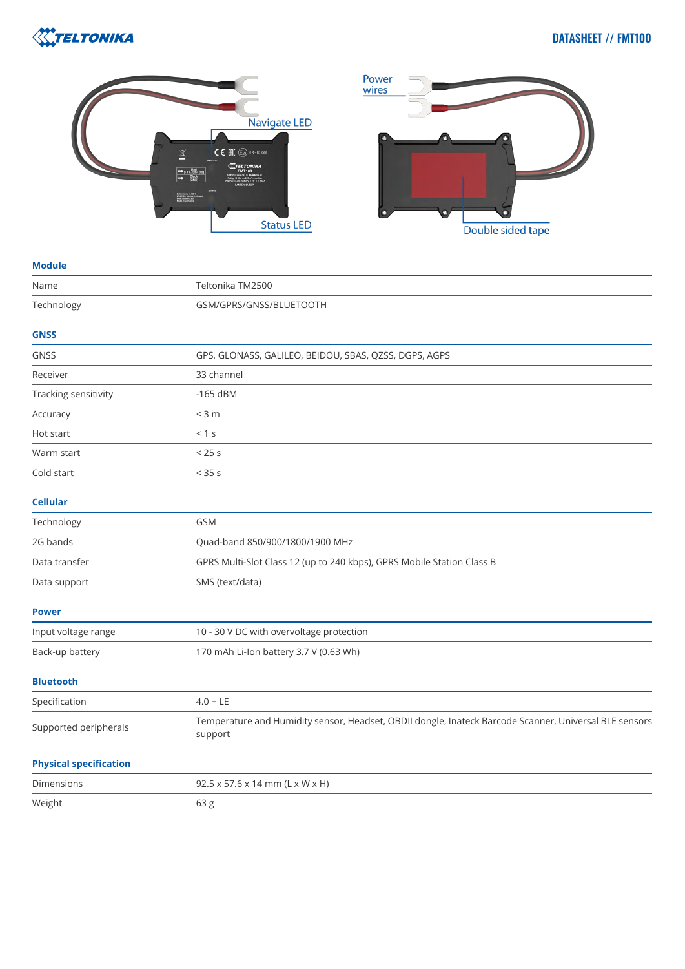

# DATASHEET // FMT100





#### **Module**

| Name                          | Teltonika TM2500                                                                                                  |
|-------------------------------|-------------------------------------------------------------------------------------------------------------------|
| Technology                    | GSM/GPRS/GNSS/BLUETOOTH                                                                                           |
| <b>GNSS</b>                   |                                                                                                                   |
| GNSS                          | GPS, GLONASS, GALILEO, BEIDOU, SBAS, QZSS, DGPS, AGPS                                                             |
| Receiver                      | 33 channel                                                                                                        |
| Tracking sensitivity          | $-165$ dBM                                                                                                        |
| Accuracy                      | $<$ 3 m                                                                                                           |
| Hot start                     | < 1 s                                                                                                             |
| Warm start                    | < 25s                                                                                                             |
| Cold start                    | < 35s                                                                                                             |
| <b>Cellular</b>               |                                                                                                                   |
| Technology                    | GSM                                                                                                               |
| 2G bands                      | Quad-band 850/900/1800/1900 MHz                                                                                   |
| Data transfer                 | GPRS Multi-Slot Class 12 (up to 240 kbps), GPRS Mobile Station Class B                                            |
| Data support                  | SMS (text/data)                                                                                                   |
| <b>Power</b>                  |                                                                                                                   |
| Input voltage range           | 10 - 30 V DC with overvoltage protection                                                                          |
| Back-up battery               | 170 mAh Li-Ion battery 3.7 V (0.63 Wh)                                                                            |
| <b>Bluetooth</b>              |                                                                                                                   |
| Specification                 | $4.0 + LE$                                                                                                        |
| Supported peripherals         | Temperature and Humidity sensor, Headset, OBDII dongle, Inateck Barcode Scanner, Universal BLE sensors<br>support |
| <b>Physical specification</b> |                                                                                                                   |
| Dimensions                    | 92.5 x 57.6 x 14 mm (L x W x H)                                                                                   |
| Weight                        | 63 <sub>g</sub>                                                                                                   |